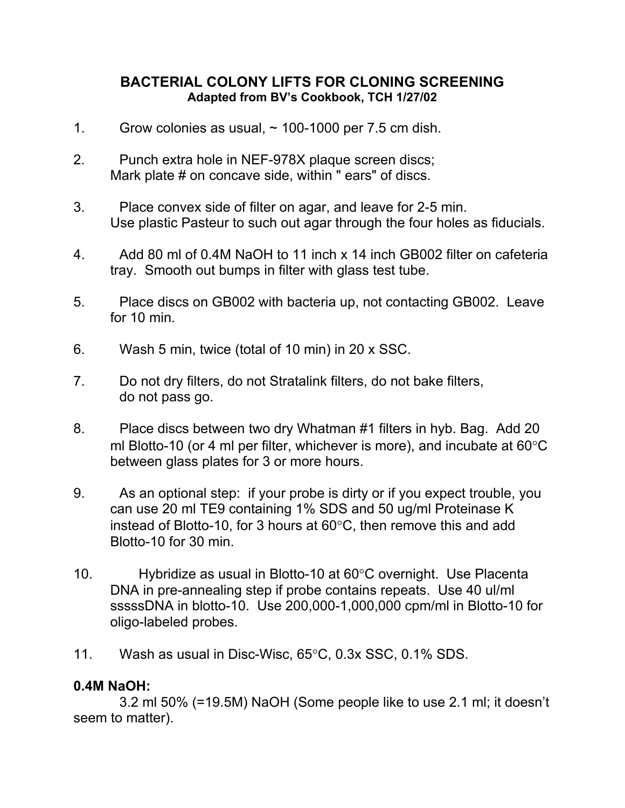## **BACTERIAL COLONY LIFTS FOR CLONING SCREENING Adapted from BV's Cookbook, TCH 1/27/02**

- 1. Grow colonies as usual,  $\sim$  100-1000 per 7.5 cm dish.
- 2. Punch extra hole in NEF-978X plaque screen discs; Mark plate # on concave side, within " ears" of discs.
- 3. Place convex side of filter on agar, and leave for 2-5 min. Use plastic Pasteur to such out agar through the four holes as fiducials.
- 4. Add 80 ml of 0.4M NaOH to 11 inch x 14 inch GB002 filter on cafeteria tray. Smooth out bumps in filter with glass test tube.
- 5. Place discs on GB002 with bacteria up, not contacting GB002. Leave for 10 min.
- 6. Wash 5 min, twice (total of 10 min) in 20 x SSC.
- 7. Do not dry filters, do not Stratalink filters, do not bake filters, do not pass go.
- 8. Place discs between two dry Whatman #1 filters in hyb. Bag. Add 20 ml Blotto-10 (or 4 ml per filter, whichever is more), and incubate at  $60^{\circ}$ C between glass plates for 3 or more hours.
- 9. As an optional step: if your probe is dirty or if you expect trouble, you can use 20 ml TE9 containing 1% SDS and 50 ug/ml Proteinase K instead of Blotto-10, for 3 hours at  $60^{\circ}$ C, then remove this and add Blotto-10 for 30 min.
- 10. Hybridize as usual in Blotto-10 at  $60^{\circ}$ C overnight. Use Placenta DNA in pre-annealing step if probe contains repeats. Use 40 ul/ml sssssDNA in blotto-10. Use 200,000-1,000,000 cpm/ml in Blotto-10 for oligo-labeled probes.
- 11. Wash as usual in Disc-Wisc,  $65^{\circ}$ C, 0.3x SSC, 0.1% SDS.

## **0.4M NaOH:**

 3.2 ml 50% (=19.5M) NaOH (Some people like to use 2.1 ml; it doesn't seem to matter).